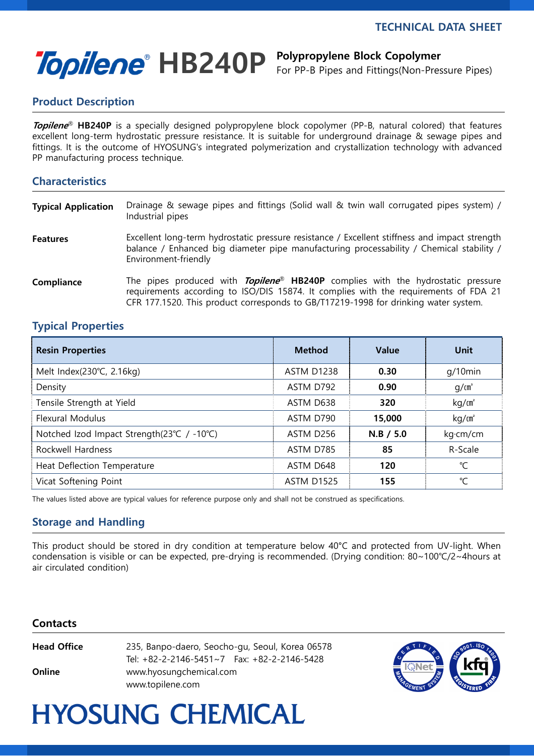i<br>I

# Topilene<sup>®</sup> HB240P Polypropylene Block Copolymer

For PP-B Pipes and Fittings(Non-Pressure Pipes)

### Product Description

Topilene<sup>®</sup> HB240P is a specially designed polypropylene block copolymer (PP-B, natural colored) that features excellent long-term hydrostatic pressure resistance. It is suitable for underground drainage & sewage pipes and fittings. It is the outcome of HYOSUNG's integrated polymerization and crystallization technology with advanced PP manufacturing process technique.

### **Characteristics**

| <b>Typical Application</b> | Drainage & sewage pipes and fittings (Solid wall & twin wall corrugated pipes system) /<br>Industrial pipes                                                                                                                                                                      |
|----------------------------|----------------------------------------------------------------------------------------------------------------------------------------------------------------------------------------------------------------------------------------------------------------------------------|
| <b>Features</b>            | Excellent long-term hydrostatic pressure resistance / Excellent stiffness and impact strength<br>balance / Enhanced big diameter pipe manufacturing processability / Chemical stability /<br>Environment-friendly                                                                |
| Compliance                 | The pipes produced with <b>Topilene<sup>®</sup> HB240P</b> complies with the hydrostatic pressure<br>requirements according to ISO/DIS 15874. It complies with the requirements of FDA 21<br>CFR 177.1520. This product corresponds to GB/T17219-1998 for drinking water system. |

### Typical Properties

| <b>Resin Properties</b>                    | <b>Method</b>     | <b>Value</b> | Unit              |
|--------------------------------------------|-------------------|--------------|-------------------|
| Melt Index(230°C, 2.16kg)                  | ASTM D1238        | 0.30         | $q/10$ min        |
| Density                                    | ASTM D792         | 0.90         | q/cm <sup>3</sup> |
| Tensile Strength at Yield                  | ASTM D638         | 320          | kg/m <sup>2</sup> |
| <b>Flexural Modulus</b>                    | ASTM D790         | 15,000       | kg/m <sup>2</sup> |
| Notched Izod Impact Strength(23°C / -10°C) | ASTM D256         | $N.B$ / 5.0  | kg·cm/cm          |
| Rockwell Hardness                          | ASTM D785         | 85           | R-Scale           |
| Heat Deflection Temperature                | ASTM D648         | 120          | °C                |
| Vicat Softening Point                      | <b>ASTM D1525</b> | 155          | °C                |

The values listed above are typical values for reference purpose only and shall not be construed as specifications.

### Storage and Handling

This product should be stored in dry condition at temperature below 40°C and protected from UV-light. When condensation is visible or can be expected, pre-drying is recommended. (Drying condition: 80~100℃/2~4hours at air circulated condition)

#### **Contacts**

| Head Office | 235, Banpo-daero, Seocho-gu, Seoul, Korea 06578<br>Tel: $+82-2-2146-5451\sim7$ Fax: $+82-2-2146-5428$ |  |  |
|-------------|-------------------------------------------------------------------------------------------------------|--|--|
| Online      | www.hyosungchemical.com<br>www.topilene.com                                                           |  |  |



## **HYOSUNG CHEMICAL**